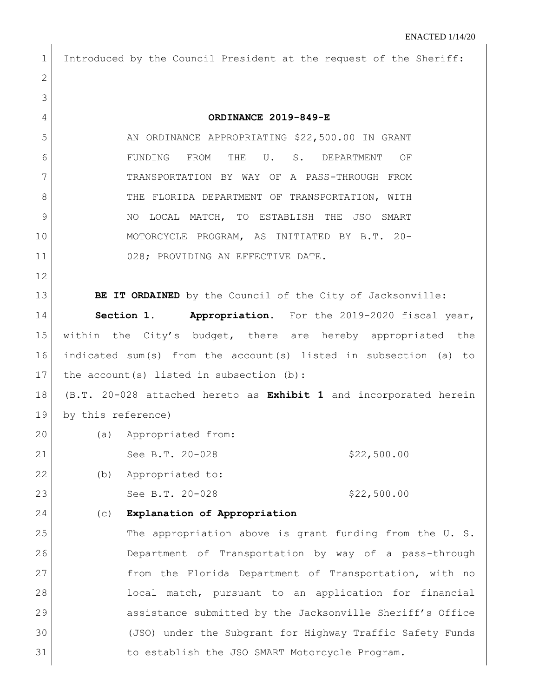| 1               | Introduced by the Council President at the request of the Sheriff: |  |
|-----------------|--------------------------------------------------------------------|--|
| $\mathbf{2}$    |                                                                    |  |
| 3               |                                                                    |  |
| 4               | ORDINANCE 2019-849-E                                               |  |
| 5               | AN ORDINANCE APPROPRIATING \$22,500.00 IN GRANT                    |  |
| 6               | FUNDING<br>FROM<br>THE<br>U.<br>$S$ .<br>DEPARTMENT<br>OF          |  |
| 7               | TRANSPORTATION BY WAY OF A PASS-THROUGH FROM                       |  |
| 8               | THE FLORIDA DEPARTMENT OF TRANSPORTATION, WITH                     |  |
| 9               | LOCAL MATCH, TO ESTABLISH THE JSO SMART<br>NO                      |  |
| 10              | MOTORCYCLE PROGRAM, AS INITIATED BY B.T. 20-                       |  |
| 11              | 028; PROVIDING AN EFFECTIVE DATE.                                  |  |
| 12              |                                                                    |  |
| 13              | BE IT ORDAINED by the Council of the City of Jacksonville:         |  |
| 14              | Section 1. Appropriation. For the 2019-2020 fiscal year,           |  |
| 15              | within the City's budget, there are hereby appropriated the        |  |
| 16              | indicated sum(s) from the account(s) listed in subsection (a) to   |  |
| 17              | the account (s) listed in subsection (b):                          |  |
| 18              | (B.T. 20-028 attached hereto as Exhibit 1 and incorporated herein  |  |
| 19              | by this reference)                                                 |  |
| 20 <sub>1</sub> | (a) Appropriated from:                                             |  |
| 21              | See B.T. 20-028<br>\$22,500.00                                     |  |
| 22              | Appropriated to:<br>(b)                                            |  |
| 23              | See B.T. 20-028<br>\$22,500.00                                     |  |
| 24              | Explanation of Appropriation<br>(C)                                |  |
| 25              | The appropriation above is grant funding from the U. S.            |  |
| 26              | Department of Transportation by way of a pass-through              |  |
| 27              | from the Florida Department of Transportation, with no             |  |
| 28              | local match, pursuant to an application for financial              |  |
| 29              | assistance submitted by the Jacksonville Sheriff's Office          |  |
| 30              | (JSO) under the Subgrant for Highway Traffic Safety Funds          |  |
| 31              | to establish the JSO SMART Motorcycle Program.                     |  |